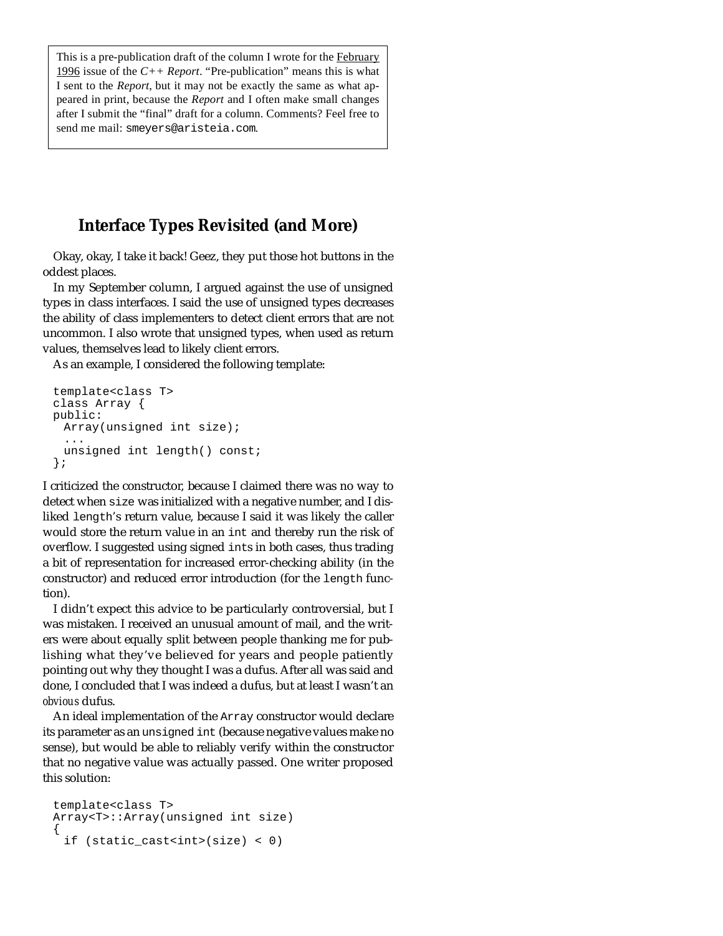This is a pre-publication draft of the column I wrote for the February 1996 issue of the *C++ Report*. "Pre-publication" means this is what I sent to the *Report*, but it may not be exactly the same as what appeared in print, because the *Report* and I often make small changes after I submit the "final" draft for a column. Comments? Feel free to send me mail: smeyers@aristeia.com.

## **Interface Types Revisited (and More)**

Okay, okay, I take it back! Geez, they put those hot buttons in the oddest places.

In my September column, I argued against the use of unsigned types in class interfaces. I said the use of unsigned types decreases the ability of class implementers to detect client errors that are not uncommon. I also wrote that unsigned types, when used as return values, themselves lead to likely client errors.

As an example, I considered the following template:

```
template<class T>
class Array {
public:
 Array(unsigned int size);
  ...
 unsigned int length() const;
};
```
I criticized the constructor, because I claimed there was no way to detect when size was initialized with a negative number, and I disliked length's return value, because I said it was likely the caller would store the return value in an int and thereby run the risk of overflow. I suggested using signed ints in both cases, thus trading a bit of representation for increased error-checking ability (in the constructor) and reduced error introduction (for the length function).

I didn't expect this advice to be particularly controversial, but I was mistaken. I received an unusual amount of mail, and the writers were about equally split between people thanking me for publishing what they've believed for years and people patiently pointing out why they thought I was a dufus. After all was said and done, I concluded that I was indeed a dufus, but at least I wasn't an *obvious* dufus.

An ideal implementation of the Array constructor would declare its parameter as an unsigned int (because negative values make no sense), but would be able to reliably verify within the constructor that no negative value was actually passed. One writer proposed this solution:

```
template<class T>
Array<T>::Array(unsigned int size)
\{if (static_cast<int>(size) < 0)
```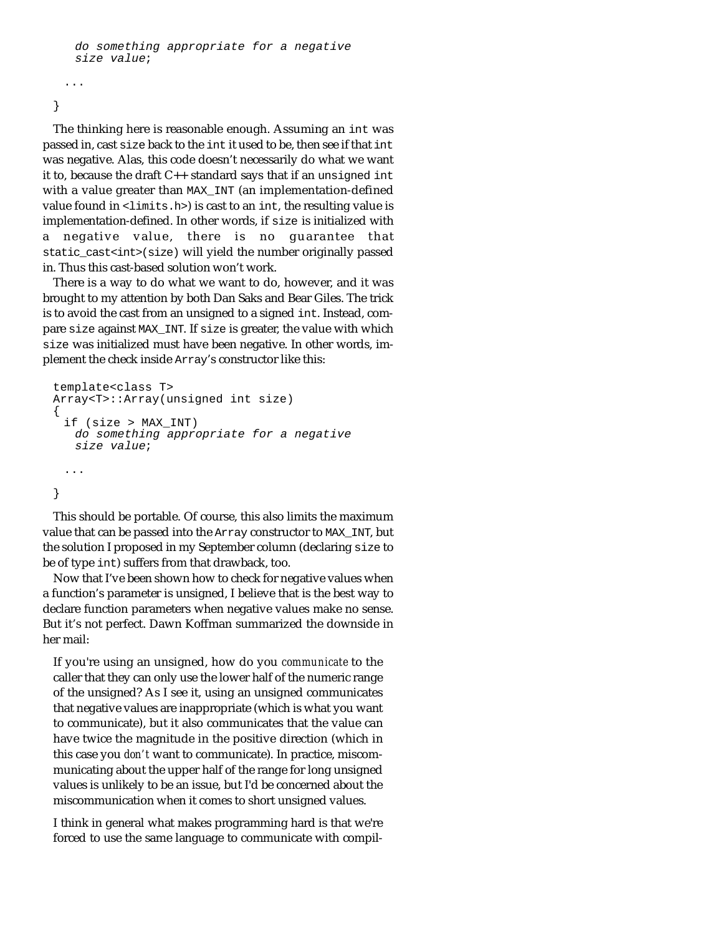```
do something appropriate for a negative
 size value;
...
```
}

The thinking here is reasonable enough. Assuming an int was passed in, cast size back to the int it used to be, then see if that int was negative. Alas, this code doesn't necessarily do what we want it to, because the draft C++ standard says that if an unsigned int with a value greater than MAX INT (an implementation-defined value found in <limits.h>) is cast to an int, the resulting value is implementation-defined. In other words, if size is initialized with a negative value, there is no guarantee that static\_cast<int>(size) will yield the number originally passed in. Thus this cast-based solution won't work.

There is a way to do what we want to do, however, and it was brought to my attention by both Dan Saks and Bear Giles. The trick is to avoid the cast from an unsigned to a signed int. Instead, compare size against MAX\_INT. If size is greater, the value with which size was initialized must have been negative. In other words, implement the check inside Array's constructor like this:

```
template<class T>
Array<T>::Array(unsigned int size)
{
 if (size > MAX_INT)
  do something appropriate for a negative
   size value;
 ...
}
```
This should be portable. Of course, this also limits the maximum value that can be passed into the Array constructor to MAX\_INT, but the solution I proposed in my September column (declaring size to be of type int) suffers from that drawback, too.

Now that I've been shown how to check for negative values when a function's parameter is unsigned, I believe that is the best way to declare function parameters when negative values make no sense. But it's not perfect. Dawn Koffman summarized the downside in her mail:

If you're using an unsigned, how do you *communicate* to the caller that they can only use the lower half of the numeric range of the unsigned? As I see it, using an unsigned communicates that negative values are inappropriate (which is what you want to communicate), but it also communicates that the value can have twice the magnitude in the positive direction (which in this case you *don't* want to communicate). In practice, miscommunicating about the upper half of the range for long unsigned values is unlikely to be an issue, but I'd be concerned about the miscommunication when it comes to short unsigned values.

I think in general what makes programming hard is that we're forced to use the same language to communicate with compil-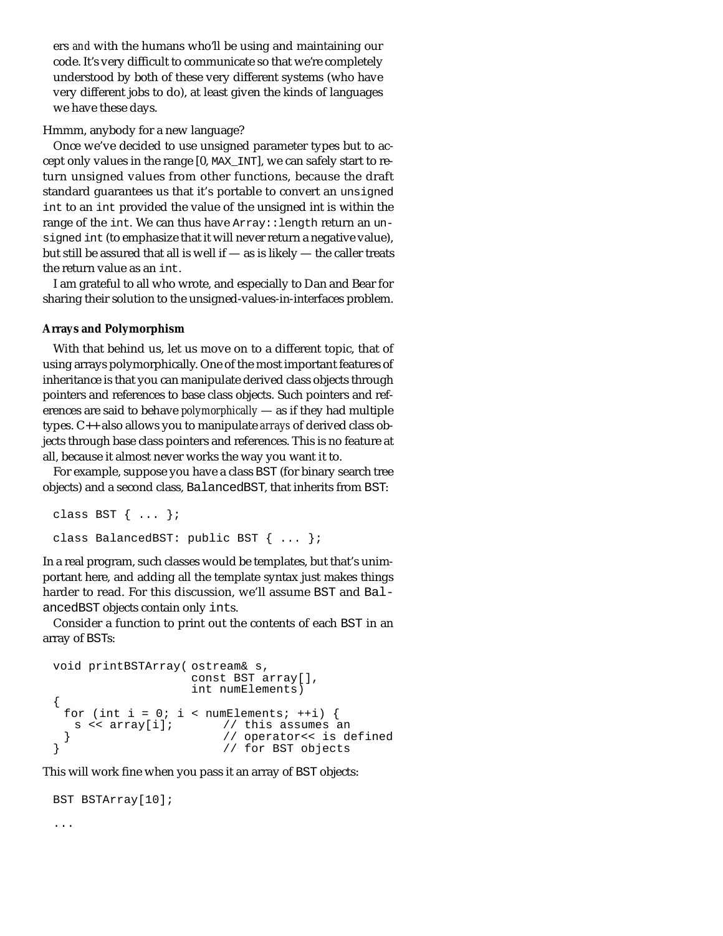ers *and* with the humans who'll be using and maintaining our code. It's very difficult to communicate so that we're completely understood by both of these very different systems (who have very different jobs to do), at least given the kinds of languages we have these days.

## Hmmm, anybody for a new language?

Once we've decided to use unsigned parameter types but to accept only values in the range [0, MAX\_INT], we can safely start to return unsigned values from other functions, because the draft standard guarantees us that it's portable to convert an unsigned int to an int provided the value of the unsigned int is within the range of the int. We can thus have Array::length return an unsigned int (to emphasize that it will never return a negative value), but still be assured that all is well if — as is likely — the caller treats the return value as an int.

I am grateful to all who wrote, and especially to Dan and Bear for sharing their solution to the unsigned-values-in-interfaces problem.

## **Arrays and Polymorphism**

With that behind us, let us move on to a different topic, that of using arrays polymorphically. One of the most important features of inheritance is that you can manipulate derived class objects through pointers and references to base class objects. Such pointers and references are said to behave *polymorphically* — as if they had multiple types. C++ also allows you to manipulate *arrays* of derived class objects through base class pointers and references. This is no feature at all, because it almost never works the way you want it to.

For example, suppose you have a class BST (for binary search tree objects) and a second class, BalancedBST, that inherits from BST:

```
class BST { ... };
class BalancedBST: public BST { ... };
```
In a real program, such classes would be templates, but that's unimportant here, and adding all the template syntax just makes things harder to read. For this discussion, we'll assume BST and BalancedBST objects contain only ints.

Consider a function to print out the contents of each BST in an array of BSTs:

```
void printBSTArray( ostream& s,
                     const BST array[],
                     int numElements)
{
 for (int i = 0; i < numElements; ++i) {<br>s << array[i]; // this assumes a
                       \frac{1}{2} this assumes an
 } // operator<< is defined
} \overline{ } // for BST objects
```
This will work fine when you pass it an array of BST objects:

BST BSTArray[10];

...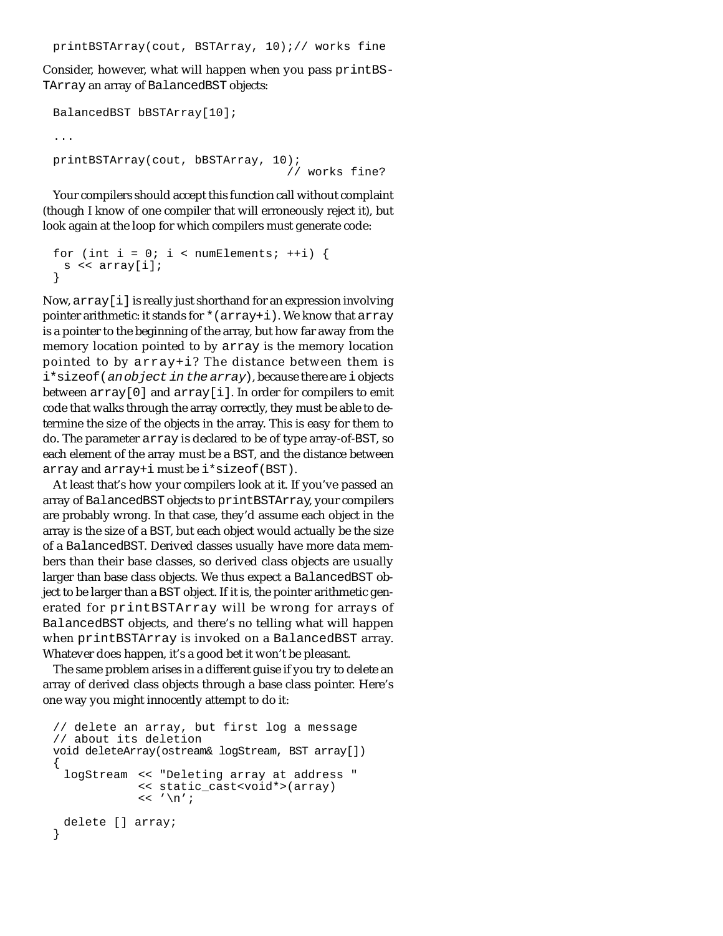printBSTArray(cout, BSTArray, 10);// works fine

Consider, however, what will happen when you pass printBS-TArray an array of BalancedBST objects:

```
BalancedBST bBSTArray[10];
...
printBSTArray(cout, bBSTArray, 10);
                                  // works fine?
```
Your compilers should accept this function call without complaint (though I know of one compiler that will erroneously reject it), but look again at the loop for which compilers must generate code:

```
for (int i = 0; i < numElements; ++i) {
 s << array[i];
}
```
Now,  $\arctan[i]$  is really just shorthand for an expression involving pointer arithmetic: it stands for  $*(array+i)$ . We know that array is a pointer to the beginning of the array, but how far away from the memory location pointed to by array is the memory location pointed to by array+i? The distance between them is i\*sizeof(anobject in the array), because there are i objects between  $array[0]$  and  $array[i]$ . In order for compilers to emit code that walks through the array correctly, they must be able to determine the size of the objects in the array. This is easy for them to do. The parameter array is declared to be of type array-of-BST, so each element of the array must be a BST, and the distance between array and array+i must be i\*sizeof(BST).

At least that's how your compilers look at it. If you've passed an array of BalancedBST objects to printBSTArray, your compilers are probably wrong. In that case, they'd assume each object in the array is the size of a BST, but each object would actually be the size of a BalancedBST. Derived classes usually have more data members than their base classes, so derived class objects are usually larger than base class objects. We thus expect a BalancedBST object to be larger than a BST object. If it is, the pointer arithmetic generated for printBSTArray will be wrong for arrays of BalancedBST objects, and there's no telling what will happen when printBSTArray is invoked on a BalancedBST array. Whatever does happen, it's a good bet it won't be pleasant.

The same problem arises in a different guise if you try to delete an array of derived class objects through a base class pointer. Here's one way you might innocently attempt to do it:

```
// delete an array, but first log a message
// about its deletion
void deleteArray(ostream& logStream, BST array[])
{
 logStream << "Deleting array at address " 
            << static_cast<void*>(array)
            << '\n';
 delete [] array;
}
```